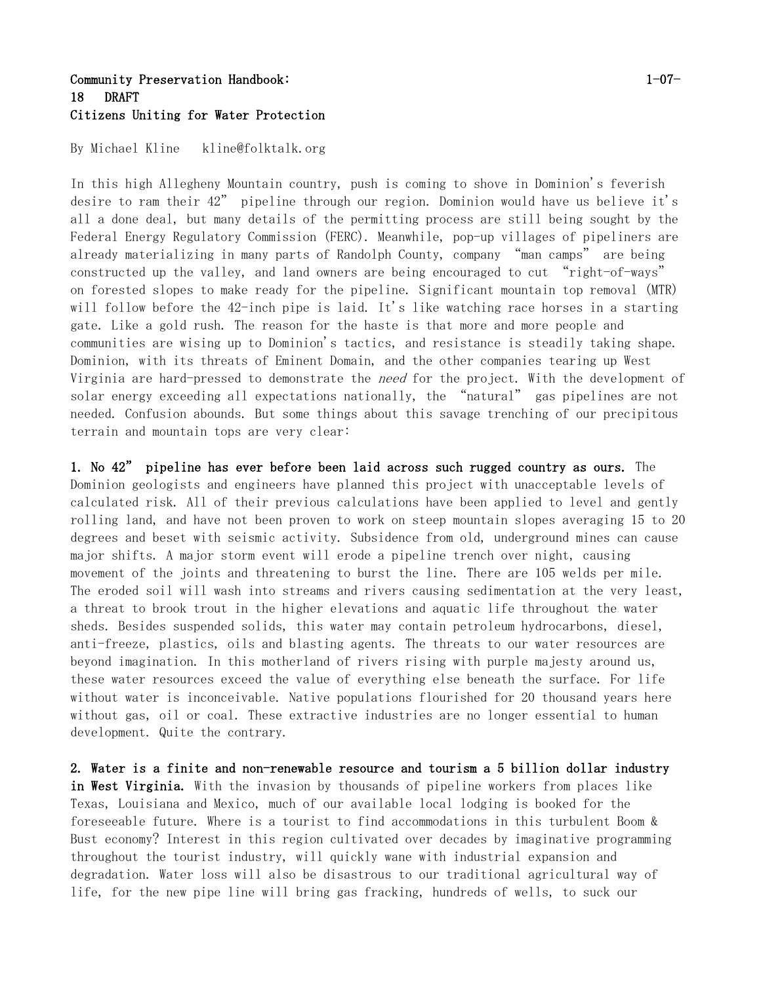## Community Preservation Handbook: 1-07- 18 DRAFT Citizens Uniting for Water Protection

By Michael Kline kline@folktalk.org

In this high Allegheny Mountain country, push is coming to shove in Dominion's feverish desire to ram their 42" pipeline through our region. Dominion would have us believe it's all a done deal, but many details of the permitting process are still being sought by the Federal Energy Regulatory Commission (FERC). Meanwhile, pop-up villages of pipeliners are already materializing in many parts of Randolph County, company "man camps" are being constructed up the valley, and land owners are being encouraged to cut "right-of-ways" on forested slopes to make ready for the pipeline. Significant mountain top removal (MTR) will follow before the 42-inch pipe is laid. It's like watching race horses in a starting gate. Like a gold rush. The reason for the haste is that more and more people and communities are wising up to Dominion's tactics, and resistance is steadily taking shape. Dominion, with its threats of Eminent Domain, and the other companies tearing up West Virginia are hard-pressed to demonstrate the *need* for the project. With the development of solar energy exceeding all expectations nationally, the "natural" gas pipelines are not needed. Confusion abounds. But some things about this savage trenching of our precipitous terrain and mountain tops are very clear:

1. No 42" pipeline has ever before been laid across such rugged country as ours. The Dominion geologists and engineers have planned this project with unacceptable levels of calculated risk. All of their previous calculations have been applied to level and gently rolling land, and have not been proven to work on steep mountain slopes averaging 15 to 20 degrees and beset with seismic activity. Subsidence from old, underground mines can cause major shifts. A major storm event will erode a pipeline trench over night, causing movement of the joints and threatening to burst the line. There are 105 welds per mile. The eroded soil will wash into streams and rivers causing sedimentation at the very least, a threat to brook trout in the higher elevations and aquatic life throughout the water sheds. Besides suspended solids, this water may contain petroleum hydrocarbons, diesel, anti-freeze, plastics, oils and blasting agents. The threats to our water resources are beyond imagination. In this motherland of rivers rising with purple majesty around us, these water resources exceed the value of everything else beneath the surface. For life without water is inconceivable. Native populations flourished for 20 thousand years here without gas, oil or coal. These extractive industries are no longer essential to human development. Quite the contrary.

2. Water is a finite and non-renewable resource and tourism a 5 billion dollar industry in West Virginia. With the invasion by thousands of pipeline workers from places like Texas, Louisiana and Mexico, much of our available local lodging is booked for the foreseeable future. Where is a tourist to find accommodations in this turbulent Boom & Bust economy? Interest in this region cultivated over decades by imaginative programming throughout the tourist industry, will quickly wane with industrial expansion and degradation. Water loss will also be disastrous to our traditional agricultural way of life, for the new pipe line will bring gas fracking, hundreds of wells, to suck our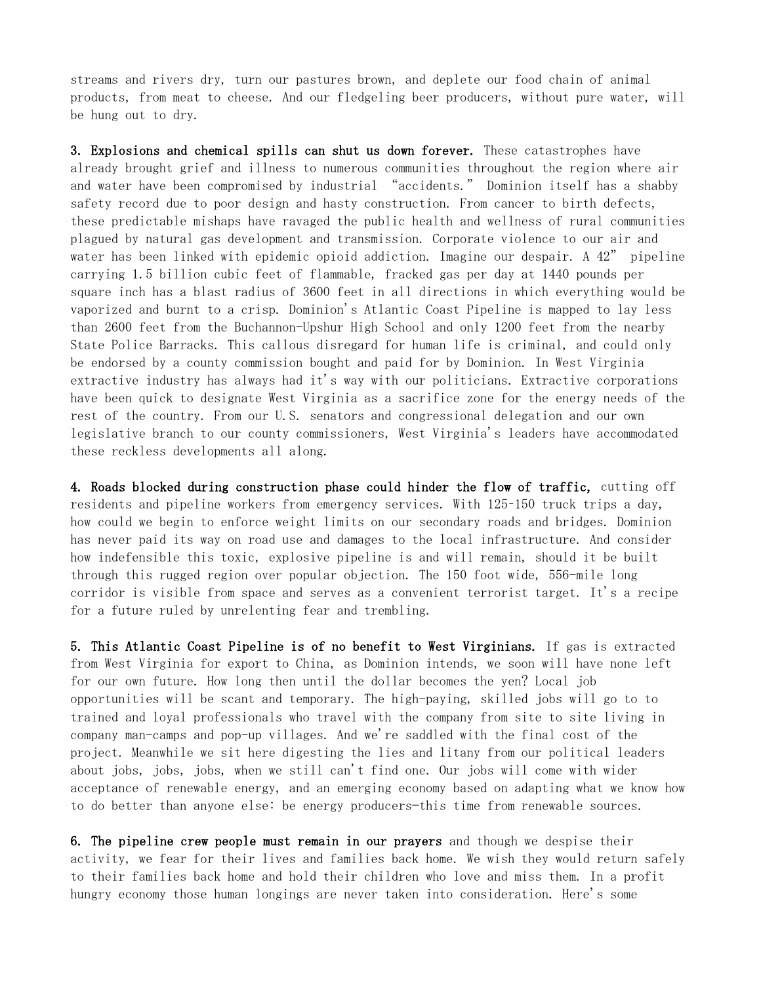streams and rivers dry, turn our pastures brown, and deplete our food chain of animal products, from meat to cheese. And our fledgeling beer producers, without pure water, will be hung out to dry.

3. Explosions and chemical spills can shut us down forever. These catastrophes have already brought grief and illness to numerous communities throughout the region where air and water have been compromised by industrial "accidents." Dominion itself has a shabby safety record due to poor design and hasty construction. From cancer to birth defects, these predictable mishaps have ravaged the public health and wellness of rural communities plagued by natural gas development and transmission. Corporate violence to our air and water has been linked with epidemic opioid addiction. Imagine our despair. A 42" pipeline carrying 1.5 billion cubic feet of flammable, fracked gas per day at 1440 pounds per square inch has a blast radius of 3600 feet in all directions in which everything would be vaporized and burnt to a crisp. Dominion's Atlantic Coast Pipeline is mapped to lay less than 2600 feet from the Buchannon-Upshur High School and only 1200 feet from the nearby State Police Barracks. This callous disregard for human life is criminal, and could only be endorsed by a county commission bought and paid for by Dominion. In West Virginia extractive industry has always had it's way with our politicians. Extractive corporations have been quick to designate West Virginia as a sacrifice zone for the energy needs of the rest of the country. From our U.S. senators and congressional delegation and our own legislative branch to our county commissioners, West Virginia's leaders have accommodated these reckless developments all along.

4. Roads blocked during construction phase could hinder the flow of traffic, cutting off residents and pipeline workers from emergency services. With 125–150 truck trips a day, how could we begin to enforce weight limits on our secondary roads and bridges. Dominion has never paid its way on road use and damages to the local infrastructure. And consider how indefensible this toxic, explosive pipeline is and will remain, should it be built through this rugged region over popular objection. The 150 foot wide, 556-mile long corridor is visible from space and serves as a convenient terrorist target. It's a recipe for a future ruled by unrelenting fear and trembling.

5. This Atlantic Coast Pipeline is of no benefit to West Virginians. If gas is extracted from West Virginia for export to China, as Dominion intends, we soon will have none left for our own future. How long then until the dollar becomes the yen? Local job opportunities will be scant and temporary. The high-paying, skilled jobs will go to to trained and loyal professionals who travel with the company from site to site living in company man-camps and pop-up villages. And we're saddled with the final cost of the project. Meanwhile we sit here digesting the lies and litany from our political leaders about jobs, jobs, jobs, when we still can't find one. Our jobs will come with wider acceptance of renewable energy, and an emerging economy based on adapting what we know how to do better than anyone else: be energy producers—this time from renewable sources.

6. The pipeline crew people must remain in our prayers and though we despise their activity, we fear for their lives and families back home. We wish they would return safely to their families back home and hold their children who love and miss them. In a profit hungry economy those human longings are never taken into consideration. Here's some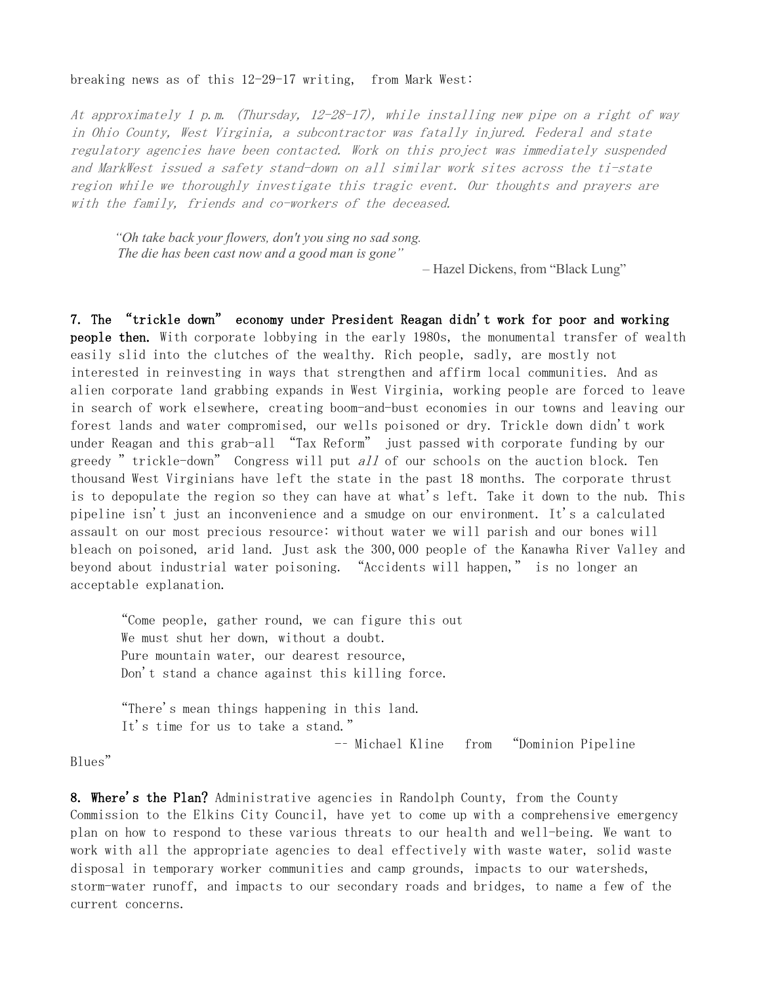## breaking news as of this 12-29-17 writing, from Mark West:

At approximately 1 p.m. (Thursday, 12-28-17), while installing new pipe on a right of way in Ohio County, West Virginia, a subcontractor was fatally injured. Federal and state regulatory agencies have been contacted. Work on this project was immediately suspended and MarkWest issued a safety stand-down on all similar work sites across the ti-state region while we thoroughly investigate this tragic event. Our thoughts and prayers are with the family, friends and co-workers of the deceased.

*"Oh take back your flowers, don't you sing no sad song. The die has been cast now and a good man is gone"*

*–* Hazel Dickens, from "Black Lung"

7. The "trickle down" economy under President Reagan didn't work for poor and working people then. With corporate lobbying in the early 1980s, the monumental transfer of wealth easily slid into the clutches of the wealthy. Rich people, sadly, are mostly not interested in reinvesting in ways that strengthen and affirm local communities. And as alien corporate land grabbing expands in West Virginia, working people are forced to leave in search of work elsewhere, creating boom-and-bust economies in our towns and leaving our forest lands and water compromised, our wells poisoned or dry. Trickle down didn't work under Reagan and this grab-all "Tax Reform" just passed with corporate funding by our greedy " trickle-down" Congress will put  $all$  of our schools on the auction block. Ten thousand West Virginians have left the state in the past 18 months. The corporate thrust is to depopulate the region so they can have at what's left. Take it down to the nub. This pipeline isn't just an inconvenience and a smudge on our environment. It's a calculated assault on our most precious resource: without water we will parish and our bones will bleach on poisoned, arid land. Just ask the 300,000 people of the Kanawha River Valley and beyond about industrial water poisoning. "Accidents will happen," is no longer an acceptable explanation.

"Come people, gather round, we can figure this out We must shut her down, without a doubt. Pure mountain water, our dearest resource, Don't stand a chance against this killing force.

"There's mean things happening in this land. It's time for us to take a stand." -– Michael Kline from "Dominion Pipeline

Blues"

8. Where's the Plan? Administrative agencies in Randolph County, from the County Commission to the Elkins City Council, have yet to come up with a comprehensive emergency plan on how to respond to these various threats to our health and well-being. We want to work with all the appropriate agencies to deal effectively with waste water, solid waste disposal in temporary worker communities and camp grounds, impacts to our watersheds, storm-water runoff, and impacts to our secondary roads and bridges, to name a few of the current concerns.